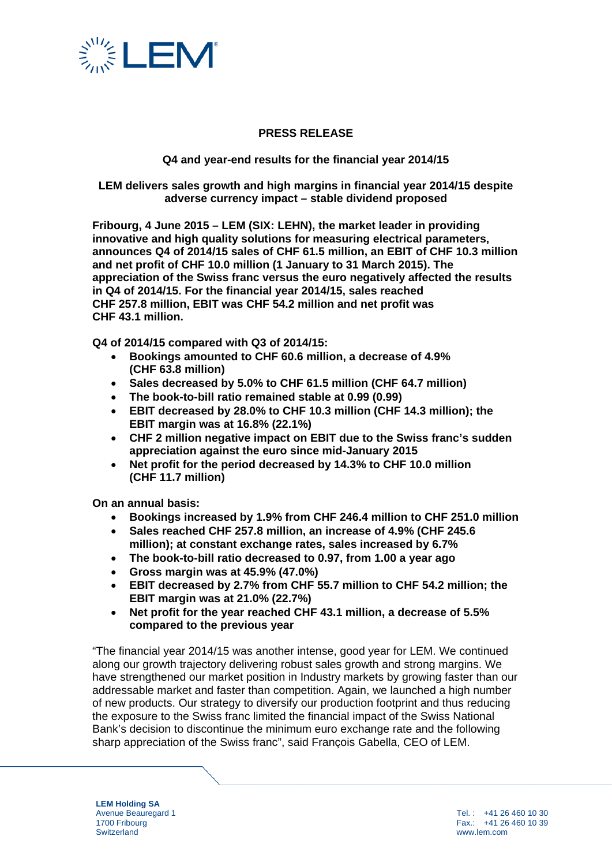

## **PRESS RELEASE**

### **Q4 and year-end results for the financial year 2014/15**

**LEM delivers sales growth and high margins in financial year 2014/15 despite adverse currency impact – stable dividend proposed**

**Fribourg, 4 June 2015 – LEM (SIX: LEHN), the market leader in providing innovative and high quality solutions for measuring electrical parameters, announces Q4 of 2014/15 sales of CHF 61.5 million, an EBIT of CHF 10.3 million and net profit of CHF 10.0 million (1 January to 31 March 2015). The appreciation of the Swiss franc versus the euro negatively affected the results in Q4 of 2014/15. For the financial year 2014/15, sales reached CHF 257.8 million, EBIT was CHF 54.2 million and net profit was CHF 43.1 million.**

**Q4 of 2014/15 compared with Q3 of 2014/15:** 

- **Bookings amounted to CHF 60.6 million, a decrease of 4.9% (CHF 63.8 million)**
- **Sales decreased by 5.0% to CHF 61.5 million (CHF 64.7 million)**
- **The book-to-bill ratio remained stable at 0.99 (0.99)**
- **EBIT decreased by 28.0% to CHF 10.3 million (CHF 14.3 million); the EBIT margin was at 16.8% (22.1%)**
- **CHF 2 million negative impact on EBIT due to the Swiss franc's sudden appreciation against the euro since mid-January 2015**
- **Net profit for the period decreased by 14.3% to CHF 10.0 million (CHF 11.7 million)**

**On an annual basis:** 

- **Bookings increased by 1.9% from CHF 246.4 million to CHF 251.0 million**
- **Sales reached CHF 257.8 million, an increase of 4.9% (CHF 245.6 million); at constant exchange rates, sales increased by 6.7%**
- **The book-to-bill ratio decreased to 0.97, from 1.00 a year ago**
- **Gross margin was at 45.9% (47.0%)**
- **EBIT decreased by 2.7% from CHF 55.7 million to CHF 54.2 million; the EBIT margin was at 21.0% (22.7%)**
- **Net profit for the year reached CHF 43.1 million, a decrease of 5.5% compared to the previous year**

"The financial year 2014/15 was another intense, good year for LEM. We continued along our growth trajectory delivering robust sales growth and strong margins. We have strengthened our market position in Industry markets by growing faster than our addressable market and faster than competition. Again, we launched a high number of new products. Our strategy to diversify our production footprint and thus reducing the exposure to the Swiss franc limited the financial impact of the Swiss National Bank's decision to discontinue the minimum euro exchange rate and the following sharp appreciation of the Swiss franc", said François Gabella, CEO of LEM.

**LEM Holding SA** Avenue Beauregard 1 1700 Fribourg **Switzerland**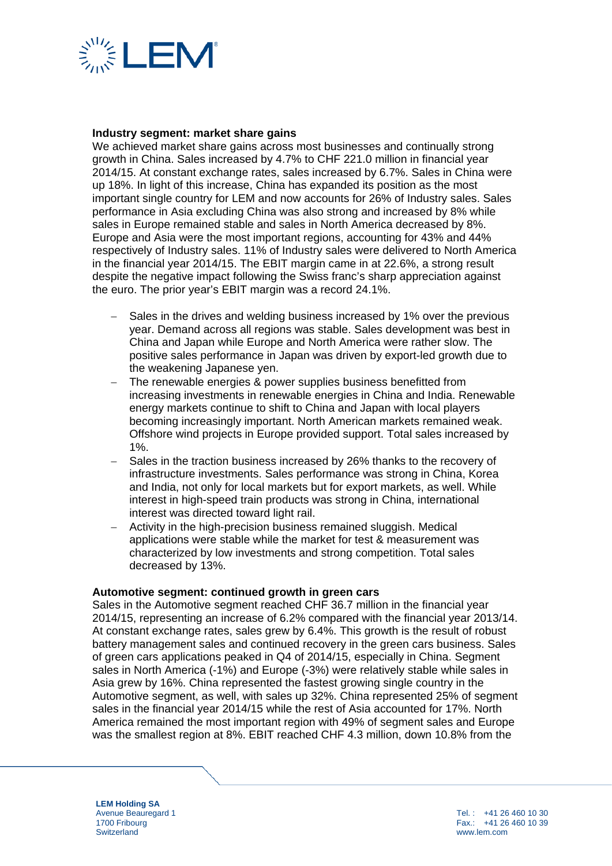

#### **Industry segment: market share gains**

We achieved market share gains across most businesses and continually strong growth in China. Sales increased by 4.7% to CHF 221.0 million in financial year 2014/15. At constant exchange rates, sales increased by 6.7%. Sales in China were up 18%. In light of this increase, China has expanded its position as the most important single country for LEM and now accounts for 26% of Industry sales. Sales performance in Asia excluding China was also strong and increased by 8% while sales in Europe remained stable and sales in North America decreased by 8%. Europe and Asia were the most important regions, accounting for 43% and 44% respectively of Industry sales. 11% of Industry sales were delivered to North America in the financial year 2014/15. The EBIT margin came in at 22.6%, a strong result despite the negative impact following the Swiss franc's sharp appreciation against the euro. The prior year's EBIT margin was a record 24.1%.

- − Sales in the drives and welding business increased by 1% over the previous year. Demand across all regions was stable. Sales development was best in China and Japan while Europe and North America were rather slow. The positive sales performance in Japan was driven by export-led growth due to the weakening Japanese yen.
- − The renewable energies & power supplies business benefitted from increasing investments in renewable energies in China and India. Renewable energy markets continue to shift to China and Japan with local players becoming increasingly important. North American markets remained weak. Offshore wind projects in Europe provided support. Total sales increased by 1%.
- Sales in the traction business increased by 26% thanks to the recovery of infrastructure investments. Sales performance was strong in China, Korea and India, not only for local markets but for export markets, as well. While interest in high-speed train products was strong in China, international interest was directed toward light rail.
- − Activity in the high-precision business remained sluggish. Medical applications were stable while the market for test & measurement was characterized by low investments and strong competition. Total sales decreased by 13%.

#### **Automotive segment: continued growth in green cars**

Sales in the Automotive segment reached CHF 36.7 million in the financial year 2014/15, representing an increase of 6.2% compared with the financial year 2013/14. At constant exchange rates, sales grew by 6.4%. This growth is the result of robust battery management sales and continued recovery in the green cars business. Sales of green cars applications peaked in Q4 of 2014/15, especially in China. Segment sales in North America (-1%) and Europe (-3%) were relatively stable while sales in Asia grew by 16%. China represented the fastest growing single country in the Automotive segment, as well, with sales up 32%. China represented 25% of segment sales in the financial year 2014/15 while the rest of Asia accounted for 17%. North America remained the most important region with 49% of segment sales and Europe was the smallest region at 8%. EBIT reached CHF 4.3 million, down 10.8% from the

**LEM Holding SA** Avenue Beauregard 1 1700 Fribourg **Switzerland**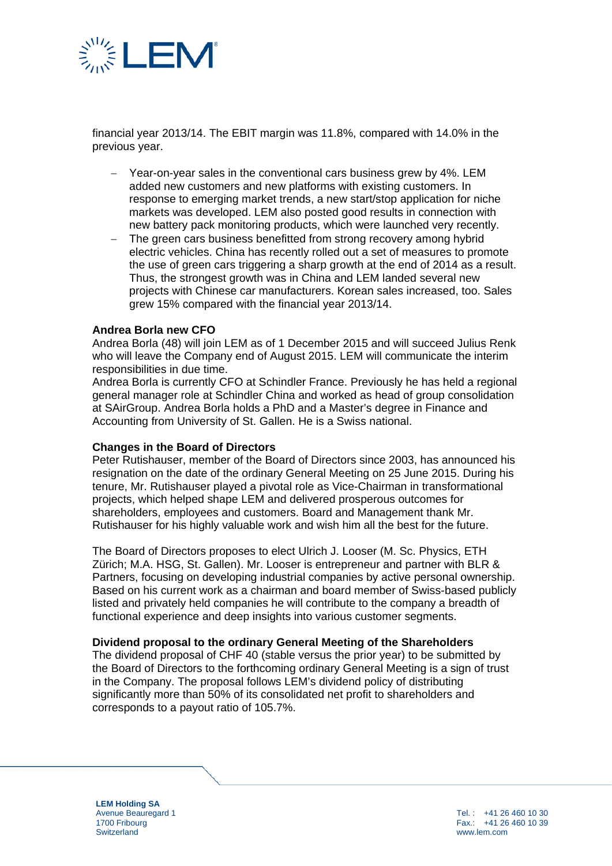

financial year 2013/14. The EBIT margin was 11.8%, compared with 14.0% in the previous year.

- Year-on-year sales in the conventional cars business grew by 4%. LEM added new customers and new platforms with existing customers. In response to emerging market trends, a new start/stop application for niche markets was developed. LEM also posted good results in connection with new battery pack monitoring products, which were launched very recently.
- The green cars business benefitted from strong recovery among hybrid electric vehicles. China has recently rolled out a set of measures to promote the use of green cars triggering a sharp growth at the end of 2014 as a result. Thus, the strongest growth was in China and LEM landed several new projects with Chinese car manufacturers. Korean sales increased, too. Sales grew 15% compared with the financial year 2013/14.

#### **Andrea Borla new CFO**

Andrea Borla (48) will join LEM as of 1 December 2015 and will succeed Julius Renk who will leave the Company end of August 2015. LEM will communicate the interim responsibilities in due time.

Andrea Borla is currently CFO at Schindler France. Previously he has held a regional general manager role at Schindler China and worked as head of group consolidation at SAirGroup. Andrea Borla holds a PhD and a Master's degree in Finance and Accounting from University of St. Gallen. He is a Swiss national.

#### **Changes in the Board of Directors**

Peter Rutishauser, member of the Board of Directors since 2003, has announced his resignation on the date of the ordinary General Meeting on 25 June 2015. During his tenure, Mr. Rutishauser played a pivotal role as Vice-Chairman in transformational projects, which helped shape LEM and delivered prosperous outcomes for shareholders, employees and customers. Board and Management thank Mr. Rutishauser for his highly valuable work and wish him all the best for the future.

The Board of Directors proposes to elect Ulrich J. Looser (M. Sc. Physics, ETH Zürich; M.A. HSG, St. Gallen). Mr. Looser is entrepreneur and partner with BLR & Partners, focusing on developing industrial companies by active personal ownership. Based on his current work as a chairman and board member of Swiss-based publicly listed and privately held companies he will contribute to the company a breadth of functional experience and deep insights into various customer segments.

#### **Dividend proposal to the ordinary General Meeting of the Shareholders**

The dividend proposal of CHF 40 (stable versus the prior year) to be submitted by the Board of Directors to the forthcoming ordinary General Meeting is a sign of trust in the Company. The proposal follows LEM's dividend policy of distributing significantly more than 50% of its consolidated net profit to shareholders and corresponds to a payout ratio of 105.7%.

**LEM Holding SA** Avenue Beauregard 1 1700 Fribourg **Switzerland**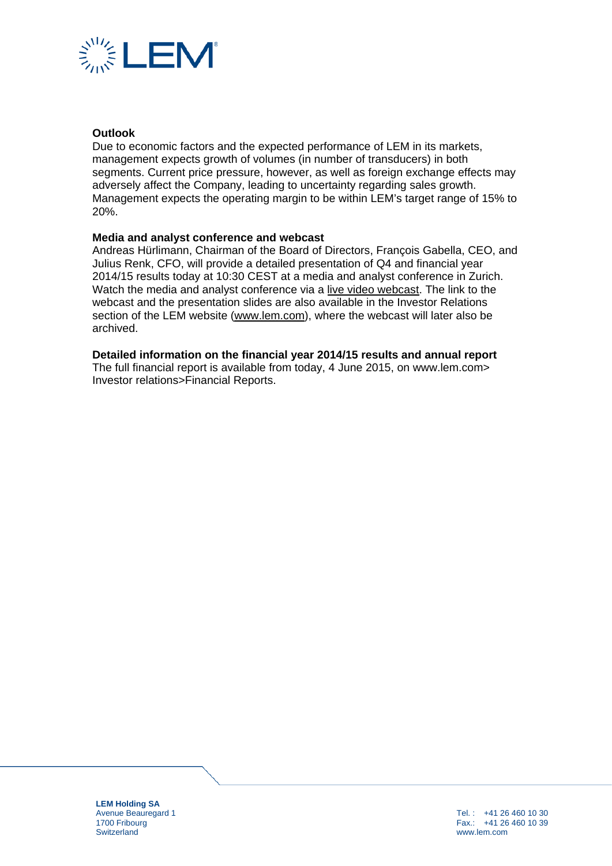

### **Outlook**

Due to economic factors and the expected performance of LEM in its markets, management expects growth of volumes (in number of transducers) in both segments. Current price pressure, however, as well as foreign exchange effects may adversely affect the Company, leading to uncertainty regarding sales growth. Management expects the operating margin to be within LEM's target range of 15% to 20%.

### **Media and analyst conference and webcast**

Andreas Hürlimann, Chairman of the Board of Directors, François Gabella, CEO, and Julius Renk, CFO, will provide a detailed presentation of Q4 and financial year 2014/15 results today at 10:30 CEST at a media and analyst conference in Zurich. Watch the media and analyst conference via a [live video webcast.](http://services.choruscall.eu/links/lem150604.html) The link to the webcast and the presentation slides are also available in the Investor Relations section of the LEM website [\(www.lem.com\)](http://www.lem.com/), where the webcast will later also be archived.

### **Detailed information on the financial year 2014/15 results and annual report**

The full financial report is available from today, 4 June 2015, on www.lem.com> Investor relations>Financial Reports.

**LEM Holding SA** Avenue Beauregard 1 1700 Fribourg **Switzerland**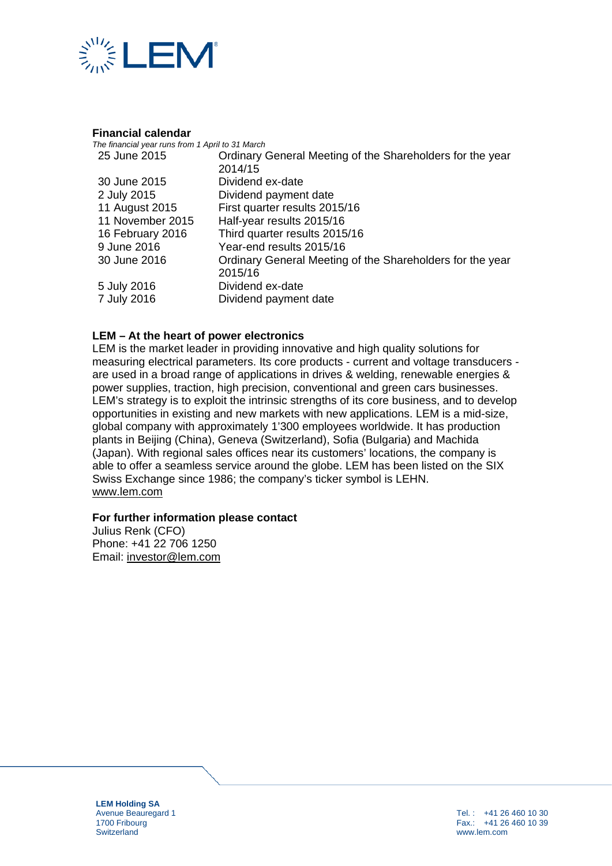

#### **Financial calendar**

| The financial year runs from 1 April to 31 March |                                                           |  |  |  |
|--------------------------------------------------|-----------------------------------------------------------|--|--|--|
| 25 June 2015                                     | Ordinary General Meeting of the Shareholders for the year |  |  |  |
|                                                  | 2014/15                                                   |  |  |  |
| 30 June 2015                                     | Dividend ex-date                                          |  |  |  |
| 2 July 2015                                      | Dividend payment date                                     |  |  |  |
| 11 August 2015                                   | First quarter results 2015/16                             |  |  |  |
| 11 November 2015                                 | Half-year results 2015/16                                 |  |  |  |
| 16 February 2016                                 | Third quarter results 2015/16                             |  |  |  |
| 9 June 2016                                      | Year-end results 2015/16                                  |  |  |  |
| 30 June 2016                                     | Ordinary General Meeting of the Shareholders for the year |  |  |  |
|                                                  | 2015/16                                                   |  |  |  |
| 5 July 2016                                      | Dividend ex-date                                          |  |  |  |
| 7 July 2016                                      | Dividend payment date                                     |  |  |  |

## **LEM – At the heart of power electronics**

LEM is the market leader in providing innovative and high quality solutions for measuring electrical parameters. Its core products - current and voltage transducers are used in a broad range of applications in drives & welding, renewable energies & power supplies, traction, high precision, conventional and green cars businesses. LEM's strategy is to exploit the intrinsic strengths of its core business, and to develop opportunities in existing and new markets with new applications. LEM is a mid-size, global company with approximately 1'300 employees worldwide. It has production plants in Beijing (China), Geneva (Switzerland), Sofia (Bulgaria) and Machida (Japan). With regional sales offices near its customers' locations, the company is able to offer a seamless service around the globe. LEM has been listed on the SIX Swiss Exchange since 1986; the company's ticker symbol is LEHN. [www.lem.com](http://www.lem.com/)

#### **For further information please contact**

Julius Renk (CFO) Phone: +41 22 706 1250 Email: [investor@lem.com](mailto:investor@lem.com)

**LEM Holding SA** Avenue Beauregard 1 1700 Fribourg **Switzerland**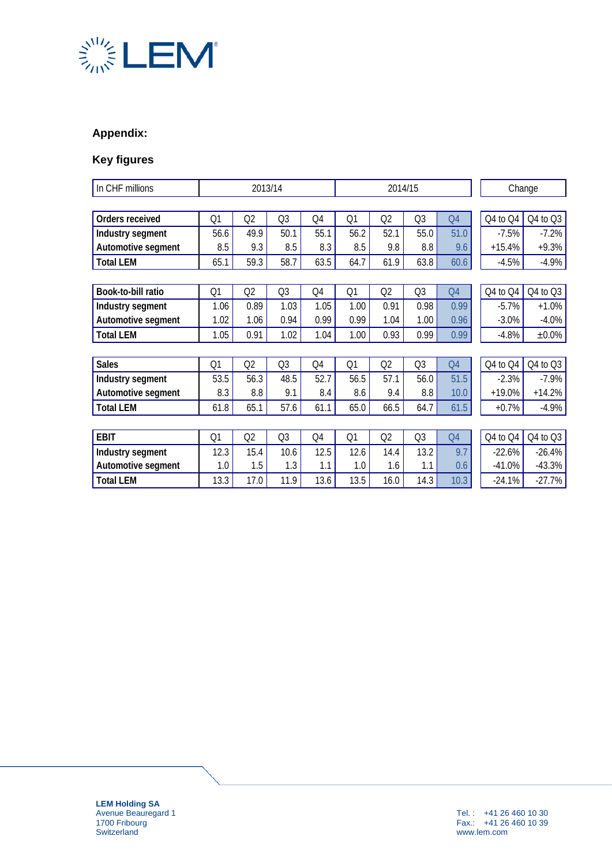

# **Appendix:**

# **Key figures**

| In CHF millions    | 2013/14        |      |                | 2014/15 |      |      |                | Change         |          |             |
|--------------------|----------------|------|----------------|---------|------|------|----------------|----------------|----------|-------------|
|                    |                |      |                |         |      |      |                |                |          |             |
| Orders received    | Q1             | Q2   | Q <sub>3</sub> | Q4      | Q1   | Q2   | Q <sub>3</sub> | Q4             | Q4 to Q4 | Q4 to Q3    |
| Industry segment   | 56.6           | 49.9 | 50.1           | 55.1    | 56.2 | 52.1 | 55.0           | 51.0           | $-7.5%$  | $-7.2%$     |
| Automotive segment | 8.5            | 9.3  | 8.5            | 8.3     | 8.5  | 9.8  | 8.8            | 9.6            | $+15.4%$ | $+9.3%$     |
| <b>Total LEM</b>   | 65.1           | 59.3 | 58.7           | 63.5    | 64.7 | 61.9 | 63.8           | 60.6           | $-4.5%$  | $-4.9%$     |
|                    |                |      |                |         |      |      |                |                |          |             |
| Book-to-bill ratio | Q1             | Q2   | Q <sub>3</sub> | Q4      | Q1   | Q2   | Q <sub>3</sub> | Q4             | Q4 to Q4 | Q4 to Q3    |
| Industry segment   | 1.06           | 0.89 | 1.03           | 1.05    | 1.00 | 0.91 | 0.98           | 0.99           | $-5.7%$  | $+1.0%$     |
| Automotive segment | 1.02           | 1.06 | 0.94           | 0.99    | 0.99 | 1.04 | 1.00           | 0.96           | $-3.0%$  | $-4.0%$     |
| <b>Total LEM</b>   | 1.05           | 0.91 | 1.02           | 1.04    | 1.00 | 0.93 | 0.99           | 0.99           | $-4.8%$  | $\pm 0.0\%$ |
|                    |                |      |                |         |      |      |                |                |          |             |
| <b>Sales</b>       | Q1             | Q2   | Q <sub>3</sub> | Q4      | Q1   | Q2   | Q3             | Q4             | Q4 to Q4 | Q4 to Q3    |
| Industry segment   | 53.5           | 56.3 | 48.5           | 52.7    | 56.5 | 57.1 | 56.0           | 51.5           | $-2.3%$  | $-7.9%$     |
| Automotive segment | 8.3            | 8.8  | 9.1            | 8.4     | 8.6  | 9.4  | 8.8            | 10.0           | $+19.0%$ | $+14.2%$    |
| <b>Total LEM</b>   | 61.8           | 65.1 | 57.6           | 61.1    | 65.0 | 66.5 | 64.7           | 61.5           | $+0.7%$  | $-4.9%$     |
|                    |                |      |                |         |      |      |                |                |          |             |
| <b>EBIT</b>        | Q <sub>1</sub> | Q2   | Q <sub>3</sub> | Q4      | Q1   | Q2   | Q <sub>3</sub> | Q <sub>4</sub> | Q4 to Q4 | Q4 to Q3    |
| Industry segment   | 12.3           | 15.4 | 10.6           | 12.5    | 12.6 | 14.4 | 13.2           | 9.7            | $-22.6%$ | $-26.4%$    |
| Automotive segment | 1.0            | 1.5  | 1.3            | 1.1     | 1.0  | 1.6  | 1.1            | 0.6            | $-41.0%$ | $-43.3%$    |
| <b>Total LEM</b>   | 13.3           | 17.0 | 11.9           | 13.6    | 13.5 | 16.0 | 14.3           | 10.3           | $-24.1%$ | $-27.7%$    |